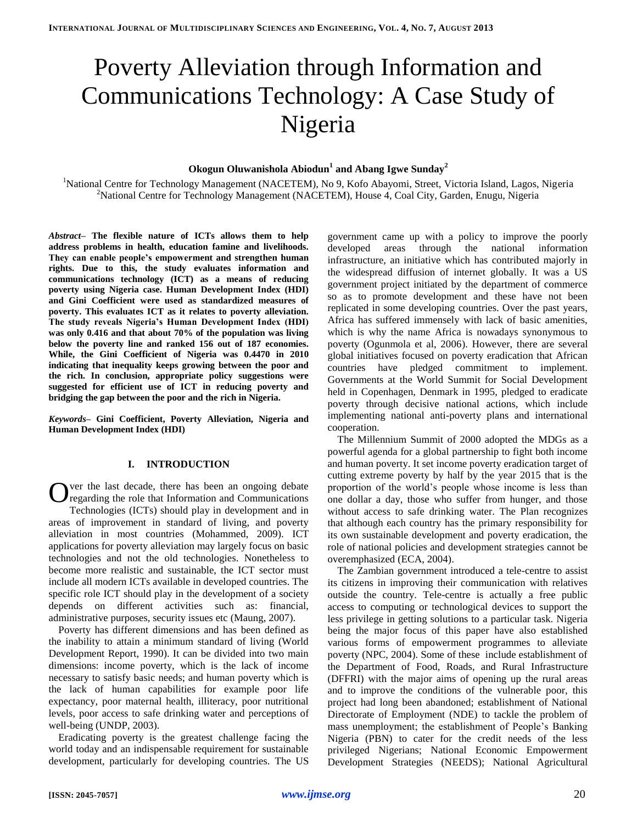# Poverty Alleviation through Information and Communications Technology: A Case Study of Nigeria

# **Okogun Oluwanishola Abiodun<sup>1</sup> and Abang Igwe Sunday<sup>2</sup>**

<sup>1</sup>National Centre for Technology Management (NACETEM), No 9, Kofo Abayomi, Street, Victoria Island, Lagos, Nigeria <sup>2</sup>National Centre for Technology Management (NACETEM), House 4, Coal City, Garden, Enugu, Nigeria

*Abstract–* **The flexible nature of ICTs allows them to help address problems in health, education famine and livelihoods. They can enable people's empowerment and strengthen human rights. Due to this, the study evaluates information and communications technology (ICT) as a means of reducing poverty using Nigeria case. Human Development Index (HDI) and Gini Coefficient were used as standardized measures of poverty. This evaluates ICT as it relates to poverty alleviation. The study reveals Nigeria's Human Development Index (HDI) was only 0.416 and that about 70% of the population was living below the poverty line and ranked 156 out of 187 economies. While, the Gini Coefficient of Nigeria was 0.4470 in 2010 indicating that inequality keeps growing between the poor and the rich. In conclusion, appropriate policy suggestions were suggested for efficient use of ICT in reducing poverty and bridging the gap between the poor and the rich in Nigeria.**

*Keywords–* **Gini Coefficient, Poverty Alleviation, Nigeria and Human Development Index (HDI)**

# **I. INTRODUCTION**

ver the last decade, there has been an ongoing debate regarding the role that Information and Communications Technologies (ICTs) should play in development and in areas of improvement in standard of living, and poverty alleviation in most countries (Mohammed, 2009). ICT applications for poverty alleviation may largely focus on basic technologies and not the old technologies. Nonetheless to become more realistic and sustainable, the ICT sector must include all modern ICTs available in developed countries. The specific role ICT should play in the development of a society depends on different activities such as: financial, administrative purposes, security issues etc (Maung, 2007). O

Poverty has different dimensions and has been defined as the inability to attain a minimum standard of living (World Development Report, 1990). It can be divided into two main dimensions: income poverty, which is the lack of income necessary to satisfy basic needs; and human poverty which is the lack of human capabilities for example poor life expectancy, poor maternal health, illiteracy, poor nutritional levels, poor access to safe drinking water and perceptions of well-being (UNDP, 2003).

Eradicating poverty is the greatest challenge facing the world today and an indispensable requirement for sustainable development, particularly for developing countries. The US government came up with a policy to improve the poorly developed areas through the national information infrastructure, an initiative which has contributed majorly in the widespread diffusion of internet globally. It was a US government project initiated by the department of commerce so as to promote development and these have not been replicated in some developing countries. Over the past years, Africa has suffered immensely with lack of basic amenities, which is why the name Africa is nowadays synonymous to poverty (Ogunmola et al, 2006). However, there are several global initiatives focused on poverty eradication that African countries have pledged commitment to implement. Governments at the World Summit for Social Development held in Copenhagen, Denmark in 1995, pledged to eradicate poverty through decisive national actions, which include implementing national anti-poverty plans and international cooperation.

The Millennium Summit of 2000 adopted the MDGs as a powerful agenda for a global partnership to fight both income and human poverty. It set income poverty eradication target of cutting extreme poverty by half by the year 2015 that is the proportion of the world's people whose income is less than one dollar a day, those who suffer from hunger, and those without access to safe drinking water. The Plan recognizes that although each country has the primary responsibility for its own sustainable development and poverty eradication, the role of national policies and development strategies cannot be overemphasized (ECA, 2004).

The Zambian government introduced a tele-centre to assist its citizens in improving their communication with relatives outside the country. Tele-centre is actually a free public access to computing or technological devices to support the less privilege in getting solutions to a particular task. Nigeria being the major focus of this paper have also established various forms of empowerment programmes to alleviate poverty (NPC, 2004). Some of these include establishment of the Department of Food, Roads, and Rural Infrastructure (DFFRI) with the major aims of opening up the rural areas and to improve the conditions of the vulnerable poor, this project had long been abandoned; establishment of National Directorate of Employment (NDE) to tackle the problem of mass unemployment; the establishment of People's Banking Nigeria (PBN) to cater for the credit needs of the less privileged Nigerians; National Economic Empowerment Development Strategies (NEEDS); National Agricultural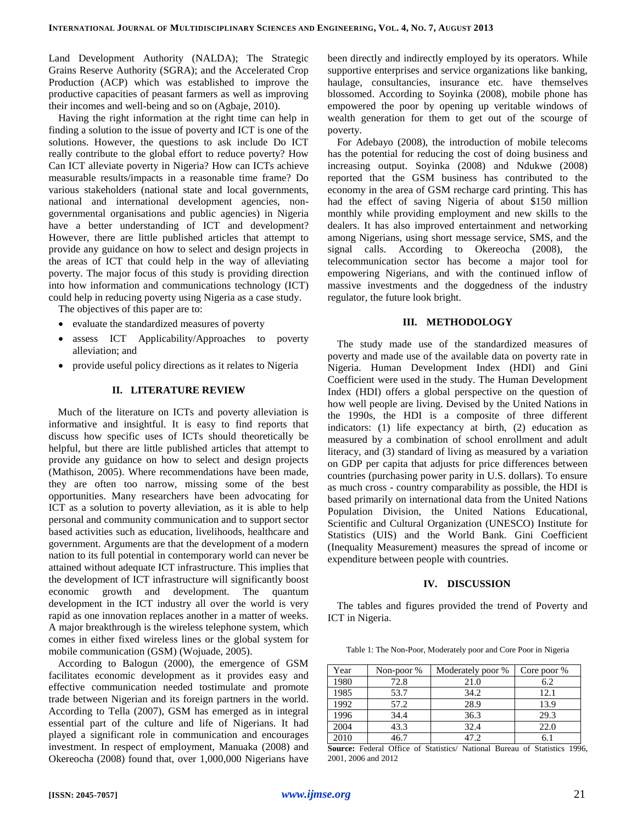Land Development Authority (NALDA); The Strategic Grains Reserve Authority (SGRA); and the Accelerated Crop Production (ACP) which was established to improve the productive capacities of peasant farmers as well as improving their incomes and well-being and so on (Agbaje, 2010).

Having the right information at the right time can help in finding a solution to the issue of poverty and ICT is one of the solutions. However, the questions to ask include Do ICT really contribute to the global effort to reduce poverty? How Can ICT alleviate poverty in Nigeria? How can ICTs achieve measurable results/impacts in a reasonable time frame? Do various stakeholders (national state and local governments, national and international development agencies, nongovernmental organisations and public agencies) in Nigeria have a better understanding of ICT and development? However, there are little published articles that attempt to provide any guidance on how to select and design projects in the areas of ICT that could help in the way of alleviating poverty. The major focus of this study is providing direction into how information and communications technology (ICT) could help in reducing poverty using Nigeria as a case study.

The objectives of this paper are to:

- evaluate the standardized measures of poverty
- assess ICT Applicability/Approaches to poverty alleviation; and
- provide useful policy directions as it relates to Nigeria

# **II. LITERATURE REVIEW**

Much of the literature on ICTs and poverty alleviation is informative and insightful. It is easy to find reports that discuss how specific uses of ICTs should theoretically be helpful, but there are little published articles that attempt to provide any guidance on how to select and design projects (Mathison, 2005). Where recommendations have been made, they are often too narrow, missing some of the best opportunities. Many researchers have been advocating for ICT as a solution to poverty alleviation, as it is able to help personal and community communication and to support sector based activities such as education, livelihoods, healthcare and government. Arguments are that the development of a modern nation to its full potential in contemporary world can never be attained without adequate ICT infrastructure. This implies that the development of ICT infrastructure will significantly boost economic growth and development. The quantum development in the ICT industry all over the world is very rapid as one innovation replaces another in a matter of weeks. A major breakthrough is the wireless telephone system, which comes in either fixed wireless lines or the global system for mobile communication (GSM) (Wojuade, 2005).

According to Balogun (2000), the emergence of GSM facilitates economic development as it provides easy and effective communication needed tostimulate and promote trade between Nigerian and its foreign partners in the world. According to Tella (2007), GSM has emerged as in integral essential part of the culture and life of Nigerians. It had played a significant role in communication and encourages investment. In respect of employment, Manuaka (2008) and Okereocha (2008) found that, over 1,000,000 Nigerians have

been directly and indirectly employed by its operators. While supportive enterprises and service organizations like banking, haulage, consultancies, insurance etc. have themselves blossomed. According to Soyinka (2008), mobile phone has empowered the poor by opening up veritable windows of wealth generation for them to get out of the scourge of poverty.

For Adebayo (2008), the introduction of mobile telecoms has the potential for reducing the cost of doing business and increasing output. Soyinka (2008) and Ndukwe (2008) reported that the GSM business has contributed to the economy in the area of GSM recharge card printing. This has had the effect of saving Nigeria of about \$150 million monthly while providing employment and new skills to the dealers. It has also improved entertainment and networking among Nigerians, using short message service, SMS, and the signal calls. According to Okereocha (2008), the telecommunication sector has become a major tool for empowering Nigerians, and with the continued inflow of massive investments and the doggedness of the industry regulator, the future look bright.

### **III. METHODOLOGY**

The study made use of the standardized measures of poverty and made use of the available data on poverty rate in Nigeria. Human Development Index (HDI) and Gini Coefficient were used in the study. The Human Development Index (HDI) offers a global perspective on the question of how well people are living. Devised by the United Nations in the 1990s, the HDI is a composite of three different indicators: (1) life expectancy at birth, (2) education as measured by a combination of school enrollment and adult literacy, and (3) standard of living as measured by a variation on GDP per capita that adjusts for price differences between countries (purchasing power parity in U.S. dollars). To ensure as much cross - country comparability as possible, the HDI is based primarily on international data from the United Nations Population Division, the United Nations Educational, Scientific and Cultural Organization (UNESCO) Institute for Statistics (UIS) and the World Bank. Gini Coefficient (Inequality Measurement) measures the spread of income or expenditure between people with countries.

### **IV. DISCUSSION**

The tables and figures provided the trend of Poverty and ICT in Nigeria.

Table 1: The Non-Poor, Moderately poor and Core Poor in Nigeria

| Year | Non-poor % | Moderately poor % | Core poor % |
|------|------------|-------------------|-------------|
| 1980 | 72.8       | 21.0              | 6.2         |
| 1985 | 53.7       | 34.2              | 12.1        |
| 1992 | 57.2       | 28.9              | 13.9        |
| 1996 | 34.4       | 36.3              | 29.3        |
| 2004 | 43.3       | 32.4              | 22.0        |
| 2010 | 46.7       | 47.2              | 6.1         |

**Source:** Federal Office of Statistics/ National Bureau of Statistics 1996, 2001, 2006 and 2012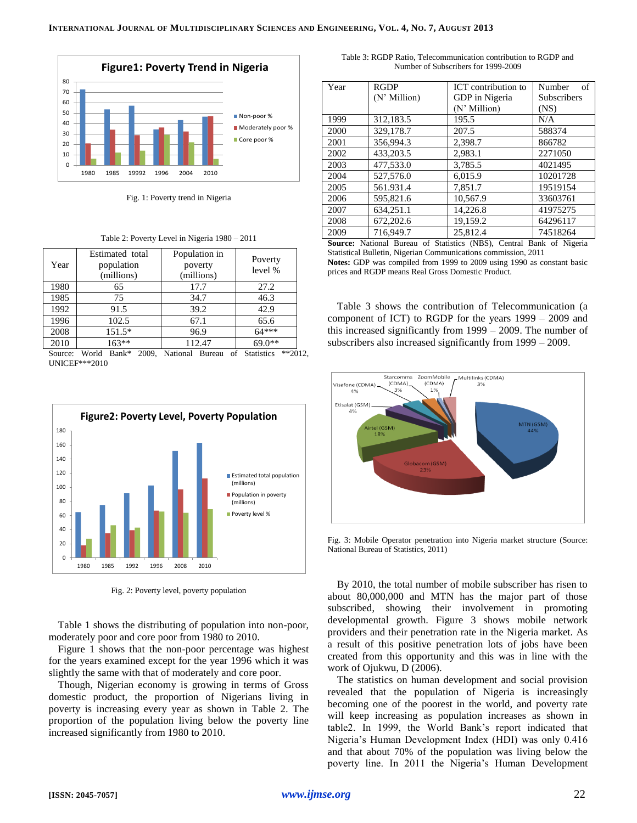

Fig. 1: Poverty trend in Nigeria

| Year | Estimated total<br>population<br>(millions) | Population in<br>poverty<br>(millions) | Poverty<br>level % |
|------|---------------------------------------------|----------------------------------------|--------------------|
| 1980 | 65                                          | 17.7                                   | 27.2               |
| 1985 | 75                                          | 34.7                                   | 46.3               |
| 1992 | 91.5                                        | 39.2                                   | 42.9               |
| 1996 | 102.5                                       | 67.1                                   | 65.6               |
| 2008 | 151.5*                                      | 96.9                                   | $64***$            |
| 2010 | $163**$                                     | 112.47                                 | $69.0**$           |

Source: World Bank\* 2009, National Bureau of Statistics \*\*2012, UNICEF\*\*\*2010



Fig. 2: Poverty level, poverty population

Table 1 shows the distributing of population into non-poor, moderately poor and core poor from 1980 to 2010.

Figure 1 shows that the non-poor percentage was highest for the years examined except for the year 1996 which it was slightly the same with that of moderately and core poor.

Though, Nigerian economy is growing in terms of Gross domestic product, the proportion of Nigerians living in poverty is increasing every year as shown in Table 2. The proportion of the population living below the poverty line increased significantly from 1980 to 2010.

Table 3: RGDP Ratio, Telecommunication contribution to RGDP and Number of Subscribers for 1999-2009

| Year | <b>RGDP</b>  | ICT contribution to | Number<br>of       |
|------|--------------|---------------------|--------------------|
|      | (N' Million) | GDP in Nigeria      | <b>Subscribers</b> |
|      |              | (N' Million)        | (NS)               |
| 1999 | 312,183.5    | 195.5               | N/A                |
| 2000 | 329,178.7    | 207.5               | 588374             |
| 2001 | 356,994.3    | 2,398.7             | 866782             |
| 2002 | 433,203.5    | 2.983.1             | 2271050            |
| 2003 | 477,533.0    | 3,785.5             | 4021495            |
| 2004 | 527,576.0    | 6.015.9             | 10201728           |
| 2005 | 561.931.4    | 7,851.7             | 19519154           |
| 2006 | 595,821.6    | 10.567.9            | 33603761           |
| 2007 | 634.251.1    | 14.226.8            | 41975275           |
| 2008 | 672,202.6    | 19,159.2            | 64296117           |
| 2009 | 716,949.7    | 25,812.4            | 74518264           |

**Source:** National Bureau of Statistics (NBS), Central Bank of Nigeria Statistical Bulletin, Nigerian Communications commission, 2011 **Notes:** GDP was compiled from 1999 to 2009 using 1990 as constant basic prices and RGDP means Real Gross Domestic Product.

Table 3 shows the contribution of Telecommunication (a component of ICT) to RGDP for the years 1999 – 2009 and this increased significantly from 1999 – 2009. The number of subscribers also increased significantly from 1999 – 2009.



Fig. 3: Mobile Operator penetration into Nigeria market structure (Source: National Bureau of Statistics, 2011)

By 2010, the total number of mobile subscriber has risen to about 80,000,000 and MTN has the major part of those subscribed, showing their involvement in promoting developmental growth. Figure 3 shows mobile network providers and their penetration rate in the Nigeria market. As a result of this positive penetration lots of jobs have been created from this opportunity and this was in line with the work of Ojukwu, D (2006).

The statistics on human development and social provision revealed that the population of Nigeria is increasingly becoming one of the poorest in the world, and poverty rate will keep increasing as population increases as shown in table2. In 1999, the World Bank's report indicated that Nigeria's Human Development Index (HDI) was only 0.416 and that about 70% of the population was living below the poverty line. In 2011 the Nigeria's Human Development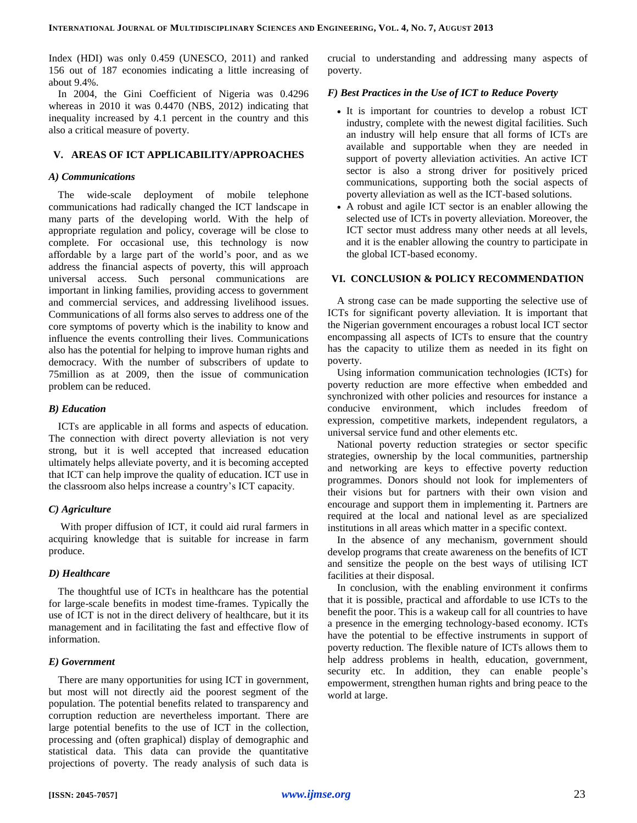Index (HDI) was only 0.459 (UNESCO, 2011) and ranked 156 out of 187 economies indicating a little increasing of about 9.4%.

In 2004, the Gini Coefficient of Nigeria was 0.4296 whereas in 2010 it was 0.4470 (NBS, 2012) indicating that inequality increased by 4.1 percent in the country and this also a critical measure of poverty.

# **V. AREAS OF ICT APPLICABILITY/APPROACHES**

#### *A) Communications*

The wide-scale deployment of mobile telephone communications had radically changed the ICT landscape in many parts of the developing world. With the help of appropriate regulation and policy, coverage will be close to complete. For occasional use, this technology is now affordable by a large part of the world's poor, and as we address the financial aspects of poverty, this will approach universal access. Such personal communications are important in linking families, providing access to government and commercial services, and addressing livelihood issues. Communications of all forms also serves to address one of the core symptoms of poverty which is the inability to know and influence the events controlling their lives. Communications also has the potential for helping to improve human rights and democracy. With the number of subscribers of update to 75million as at 2009, then the issue of communication problem can be reduced.

### *B) Education*

ICTs are applicable in all forms and aspects of education. The connection with direct poverty alleviation is not very strong, but it is well accepted that increased education ultimately helps alleviate poverty, and it is becoming accepted that ICT can help improve the quality of education. ICT use in the classroom also helps increase a country's ICT capacity.

### *C) Agriculture*

With proper diffusion of ICT, it could aid rural farmers in acquiring knowledge that is suitable for increase in farm produce.

### *D) Healthcare*

The thoughtful use of ICTs in healthcare has the potential for large-scale benefits in modest time-frames. Typically the use of ICT is not in the direct delivery of healthcare, but it its management and in facilitating the fast and effective flow of information.

#### *E) Government*

There are many opportunities for using ICT in government, but most will not directly aid the poorest segment of the population. The potential benefits related to transparency and corruption reduction are nevertheless important. There are large potential benefits to the use of ICT in the collection, processing and (often graphical) display of demographic and statistical data. This data can provide the quantitative projections of poverty. The ready analysis of such data is

crucial to understanding and addressing many aspects of poverty.

#### *F) Best Practices in the Use of ICT to Reduce Poverty*

- It is important for countries to develop a robust ICT industry, complete with the newest digital facilities. Such an industry will help ensure that all forms of ICTs are available and supportable when they are needed in support of poverty alleviation activities. An active ICT sector is also a strong driver for positively priced communications, supporting both the social aspects of poverty alleviation as well as the ICT-based solutions.
- A robust and agile ICT sector is an enabler allowing the selected use of ICTs in poverty alleviation. Moreover, the ICT sector must address many other needs at all levels, and it is the enabler allowing the country to participate in the global ICT-based economy.

#### **VI. CONCLUSION & POLICY RECOMMENDATION**

A strong case can be made supporting the selective use of ICTs for significant poverty alleviation. It is important that the Nigerian government encourages a robust local ICT sector encompassing all aspects of ICTs to ensure that the country has the capacity to utilize them as needed in its fight on poverty.

Using information communication technologies (ICTs) for poverty reduction are more effective when embedded and synchronized with other policies and resources for instance a conducive environment, which includes freedom of expression, competitive markets, independent regulators, a universal service fund and other elements etc.

National poverty reduction strategies or sector specific strategies, ownership by the local communities, partnership and networking are keys to effective poverty reduction programmes. Donors should not look for implementers of their visions but for partners with their own vision and encourage and support them in implementing it. Partners are required at the local and national level as are specialized institutions in all areas which matter in a specific context.

In the absence of any mechanism, government should develop programs that create awareness on the benefits of ICT and sensitize the people on the best ways of utilising ICT facilities at their disposal.

In conclusion, with the enabling environment it confirms that it is possible, practical and affordable to use ICTs to the benefit the poor. This is a wakeup call for all countries to have a presence in the emerging technology-based economy. ICTs have the potential to be effective instruments in support of poverty reduction. The flexible nature of ICTs allows them to help address problems in health, education, government, security etc. In addition, they can enable people's empowerment, strengthen human rights and bring peace to the world at large.